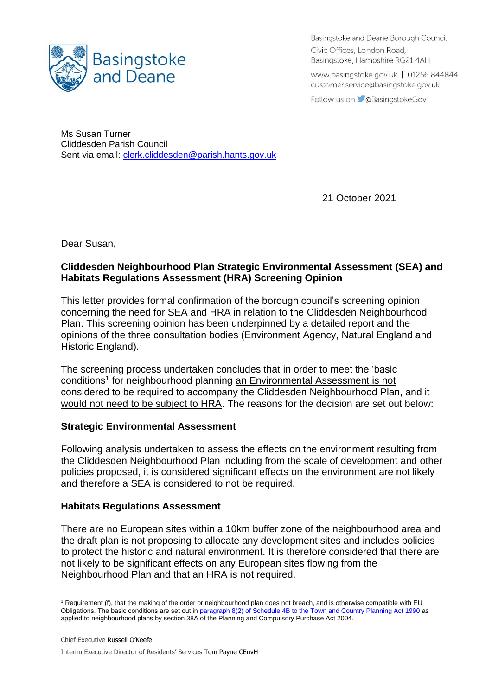

Basingstoke and Deane Borough Council Civic Offices, London Road, Basingstoke, Hampshire RG21 4AH

www.basingstoke.gov.uk | 01256 844844 customer.service@basingstoke.gov.uk

Follow us on **C**aBasingstokeGov

Ms Susan Turner Cliddesden Parish Council Sent via email: [clerk.cliddesden@parish.hants.gov.uk](mailto:clerk.cliddesden@parish.hants.gov.uk)

21 October 2021

Dear Susan,

## **Cliddesden Neighbourhood Plan Strategic Environmental Assessment (SEA) and Habitats Regulations Assessment (HRA) Screening Opinion**

This letter provides formal confirmation of the borough council's screening opinion concerning the need for SEA and HRA in relation to the Cliddesden Neighbourhood Plan. This screening opinion has been underpinned by a detailed report and the opinions of the three consultation bodies (Environment Agency, Natural England and Historic England).

The screening process undertaken concludes that in order to meet the 'basic conditions<sup>1</sup> for neighbourhood planning an Environmental Assessment is not considered to be required to accompany the Cliddesden Neighbourhood Plan, and it would not need to be subject to HRA. The reasons for the decision are set out below:

## **Strategic Environmental Assessment**

Following analysis undertaken to assess the effects on the environment resulting from the Cliddesden Neighbourhood Plan including from the scale of development and other policies proposed, it is considered significant effects on the environment are not likely and therefore a SEA is considered to not be required.

## **Habitats Regulations Assessment**

There are no European sites within a 10km buffer zone of the neighbourhood area and the draft plan is not proposing to allocate any development sites and includes policies to protect the historic and natural environment. It is therefore considered that there are not likely to be significant effects on any European sites flowing from the Neighbourhood Plan and that an HRA is not required.

<sup>&</sup>lt;sup>1</sup> Requirement (f), that the making of the order or neighbourhood plan does not breach, and is otherwise compatible with EU Obligations. The basic conditions are set out in [paragraph 8\(2\) of Schedule 4B to the Town and Country Planning Act 1990](http://www.legislation.gov.uk/ukpga/2011/20/schedule/9/enacted) as applied to neighbourhood plans by section 38A of the Planning and Compulsory Purchase Act 2004.